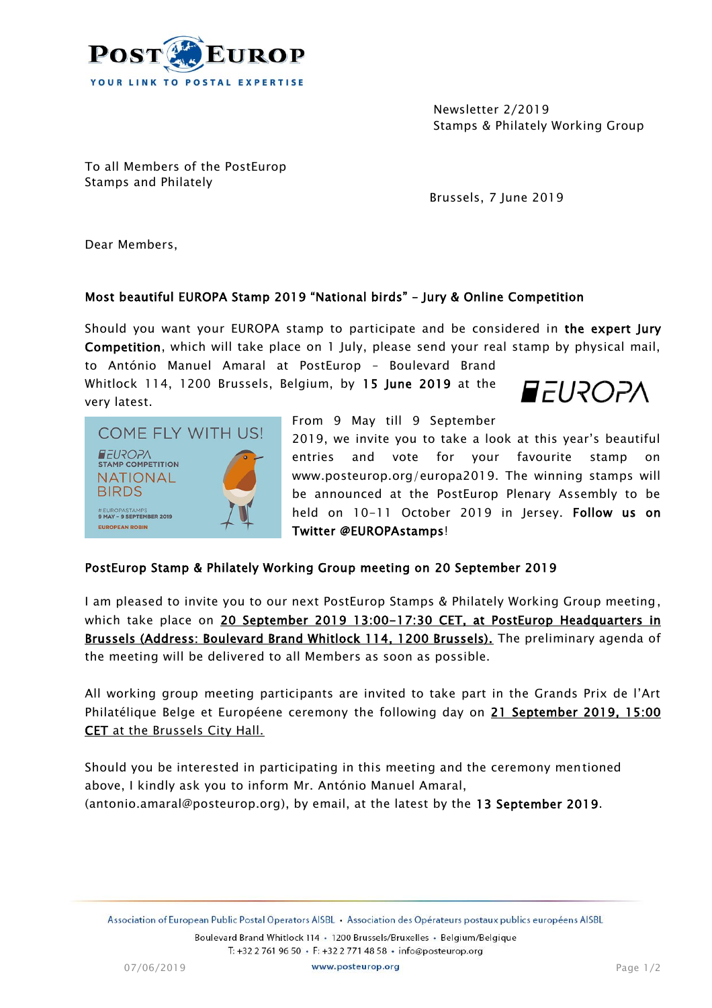

Newsletter 2/2019 Stamps & Philately Working Group

To all Members of the PostEurop Stamps and Philately

Brussels, 7 June 2019

Dear Members,

## Most beautiful EUROPA Stamp 2019 "National birds" – Jury & Online Competition

Should you want your EUROPA stamp to participate and be considered in the expert Jury Competition, which will take place on 1 July, please send your real stamp by physical mail,

to António Manuel Amaral at PostEurop – Boulevard Brand Whitlock 114, 1200 Brussels, Belgium, by 15 June 2019 at the very latest.





From 9 May till 9 September

2019, we invite you to take a look at this year's beautiful entries and vote for your favourite stamp on www.posteurop.org/europa2019. The winning stamps will be announced at the PostEurop Plenary Assembly to be held on 10-11 October 2019 in Jersey. Follow us on Twitter @EUROPAstamps!

## PostEurop Stamp & Philately Working Group meeting on 20 September 2019

I am pleased to invite you to our next PostEurop Stamps & Philately Working Group meeting, which take place on 20 September 2019 13:00-17:30 CET, at PostEurop Headquarters in Brussels (Address: Boulevard Brand Whitlock 114, 1200 Brussels). The preliminary agenda of the meeting will be delivered to all Members as soon as possible.

All working group meeting participants are invited to take part in the Grands Prix de l'Art Philatélique Belge et Européene ceremony the following day on 21 September 2019, 15:00 CET at the Brussels City Hall.

Should you be interested in participating in this meeting and the ceremony mentioned above, I kindly ask you to inform Mr. António Manuel Amaral, (antonio.amaral@posteurop.org), by email, at the latest by the 13 September 2019.

Boulevard Brand Whitlock 114 · 1200 Brussels/Bruxelles · Belgium/Belgique T: +32 2 761 96 50 · F: +32 2 771 48 58 · info@posteurop.org